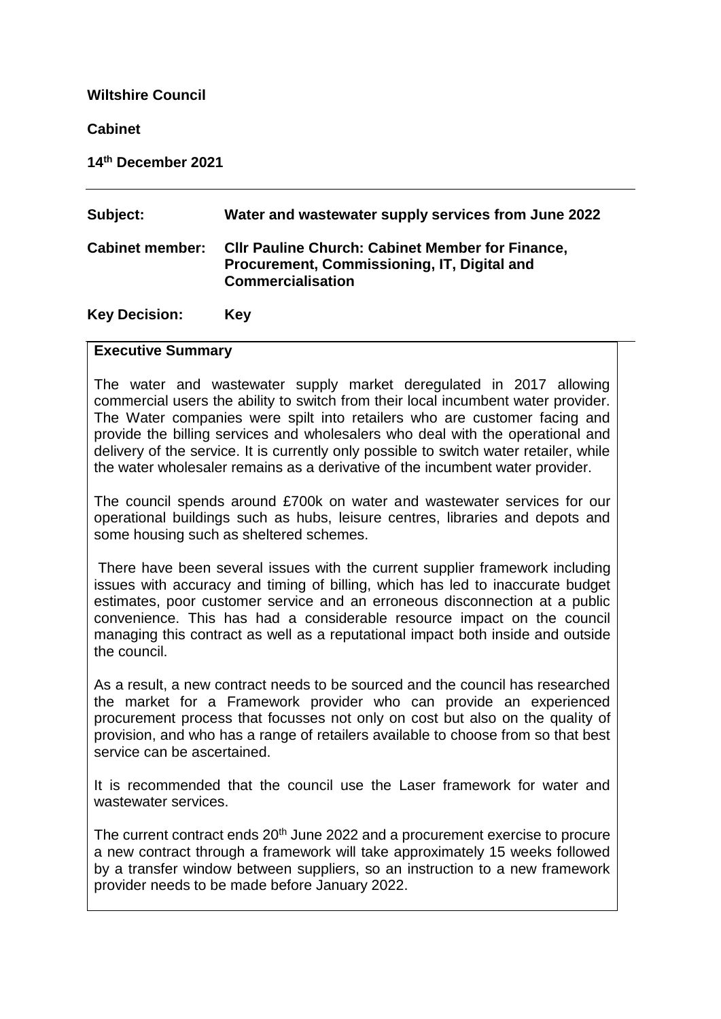### **Wiltshire Council**

### **Cabinet**

**14th December 2021**

| Subject:               | Water and wastewater supply services from June 2022                                                                                |
|------------------------|------------------------------------------------------------------------------------------------------------------------------------|
| <b>Cabinet member:</b> | <b>CIIr Pauline Church: Cabinet Member for Finance,</b><br>Procurement, Commissioning, IT, Digital and<br><b>Commercialisation</b> |
| <b>Key Decision:</b>   | <b>Key</b>                                                                                                                         |

#### **Executive Summary**

The water and wastewater supply market deregulated in 2017 allowing commercial users the ability to switch from their local incumbent water provider. The Water companies were spilt into retailers who are customer facing and provide the billing services and wholesalers who deal with the operational and delivery of the service. It is currently only possible to switch water retailer, while the water wholesaler remains as a derivative of the incumbent water provider.

The council spends around £700k on water and wastewater services for our operational buildings such as hubs, leisure centres, libraries and depots and some housing such as sheltered schemes.

There have been several issues with the current supplier framework including issues with accuracy and timing of billing, which has led to inaccurate budget estimates, poor customer service and an erroneous disconnection at a public convenience. This has had a considerable resource impact on the council managing this contract as well as a reputational impact both inside and outside the council.

As a result, a new contract needs to be sourced and the council has researched the market for a Framework provider who can provide an experienced procurement process that focusses not only on cost but also on the quality of provision, and who has a range of retailers available to choose from so that best service can be ascertained.

It is recommended that the council use the Laser framework for water and wastewater services.

The current contract ends 20<sup>th</sup> June 2022 and a procurement exercise to procure a new contract through a framework will take approximately 15 weeks followed by a transfer window between suppliers, so an instruction to a new framework provider needs to be made before January 2022.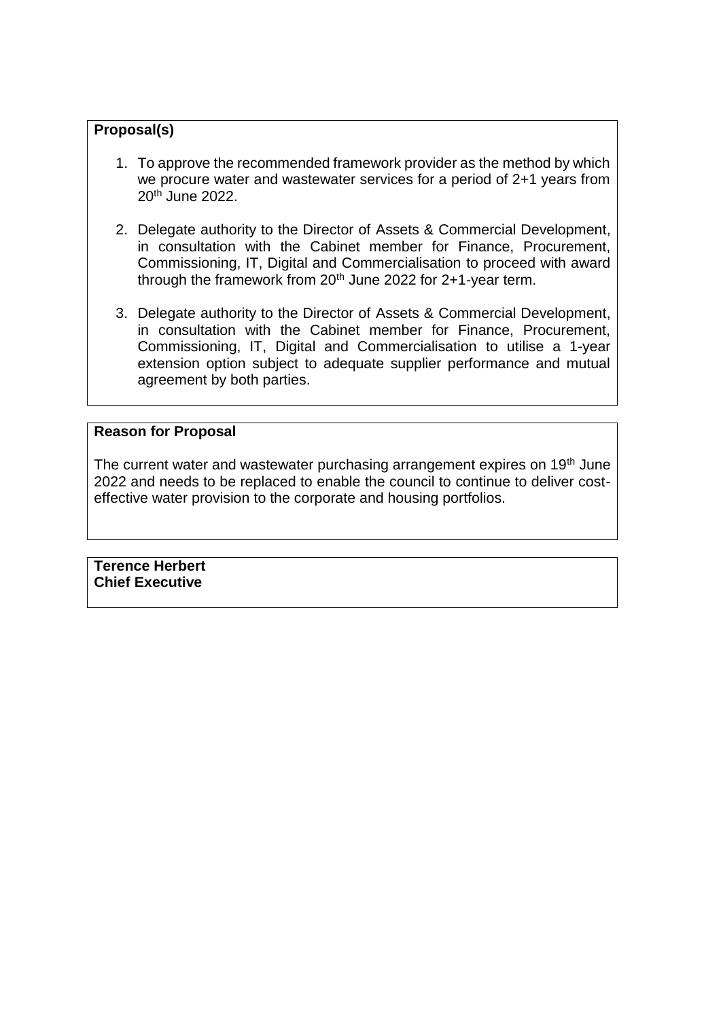## **Proposal(s)**

- 1. To approve the recommended framework provider as the method by which we procure water and wastewater services for a period of 2+1 years from 20th June 2022.
- 2. Delegate authority to the Director of Assets & Commercial Development, in consultation with the Cabinet member for Finance, Procurement, Commissioning, IT, Digital and Commercialisation to proceed with award through the framework from  $20<sup>th</sup>$  June 2022 for 2+1-year term.
- 3. Delegate authority to the Director of Assets & Commercial Development, in consultation with the Cabinet member for Finance, Procurement, Commissioning, IT, Digital and Commercialisation to utilise a 1-year extension option subject to adequate supplier performance and mutual agreement by both parties.

### **Reason for Proposal**

The current water and wastewater purchasing arrangement expires on 19<sup>th</sup> June 2022 and needs to be replaced to enable the council to continue to deliver costeffective water provision to the corporate and housing portfolios.

**Terence Herbert Chief Executive**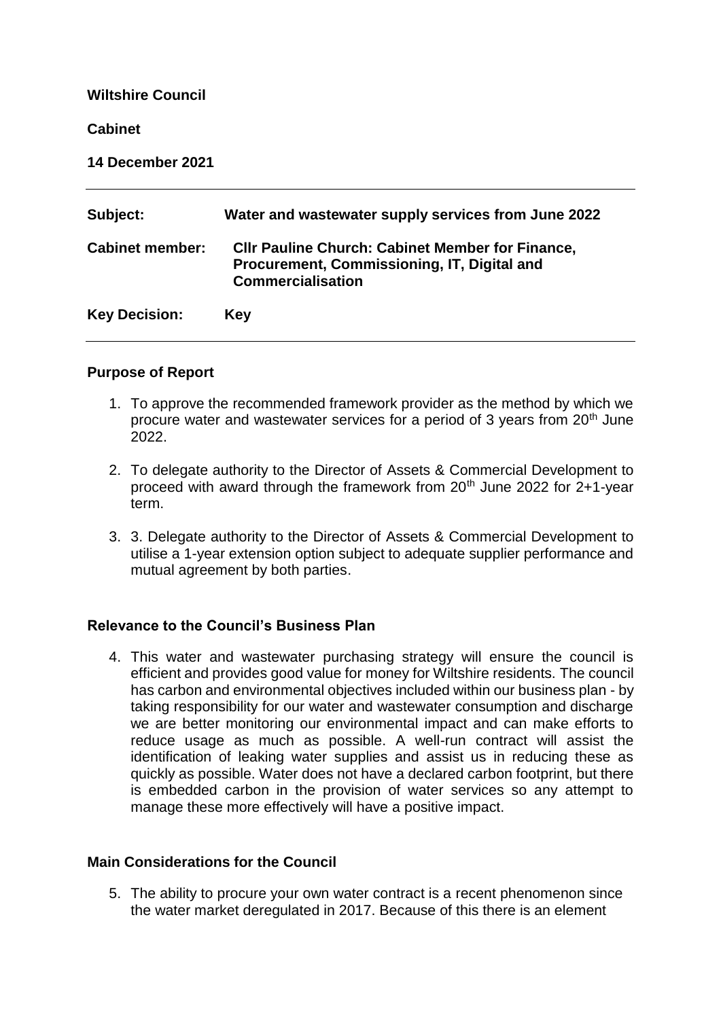| <b>Wiltshire Council</b> |                                                                                                                                    |
|--------------------------|------------------------------------------------------------------------------------------------------------------------------------|
| <b>Cabinet</b>           |                                                                                                                                    |
| 14 December 2021         |                                                                                                                                    |
| Subject:                 | Water and wastewater supply services from June 2022                                                                                |
| <b>Cabinet member:</b>   | <b>CIIr Pauline Church: Cabinet Member for Finance,</b><br>Procurement, Commissioning, IT, Digital and<br><b>Commercialisation</b> |
| <b>Key Decision:</b>     | Key                                                                                                                                |

# **Purpose of Report**

- 1. To approve the recommended framework provider as the method by which we procure water and wastewater services for a period of 3 years from 20th June 2022.
- 2. To delegate authority to the Director of Assets & Commercial Development to proceed with award through the framework from 20th June 2022 for 2+1-year term.
- 3. 3. Delegate authority to the Director of Assets & Commercial Development to utilise a 1-year extension option subject to adequate supplier performance and mutual agreement by both parties.

### **Relevance to the Council's Business Plan**

4. This water and wastewater purchasing strategy will ensure the council is efficient and provides good value for money for Wiltshire residents. The council has carbon and environmental objectives included within our business plan - by taking responsibility for our water and wastewater consumption and discharge we are better monitoring our environmental impact and can make efforts to reduce usage as much as possible. A well-run contract will assist the identification of leaking water supplies and assist us in reducing these as quickly as possible. Water does not have a declared carbon footprint, but there is embedded carbon in the provision of water services so any attempt to manage these more effectively will have a positive impact.

### **Main Considerations for the Council**

5. The ability to procure your own water contract is a recent phenomenon since the water market deregulated in 2017. Because of this there is an element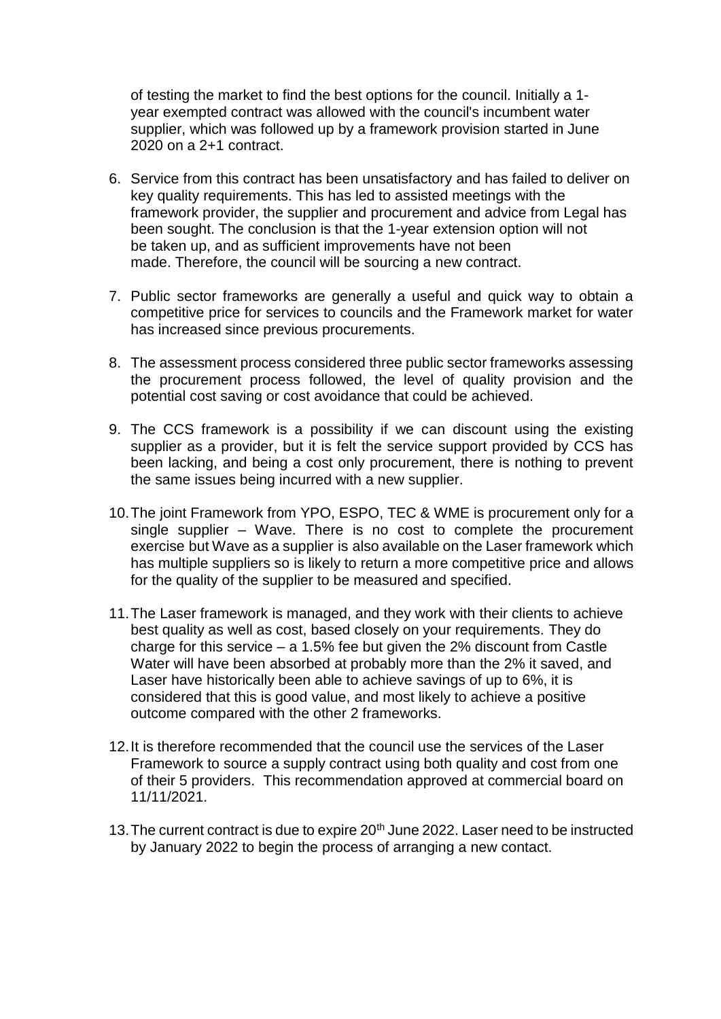of testing the market to find the best options for the council. Initially a 1 year exempted contract was allowed with the council's incumbent water supplier, which was followed up by a framework provision started in June 2020 on a 2+1 contract.

- 6. Service from this contract has been unsatisfactory and has failed to deliver on key quality requirements. This has led to assisted meetings with the framework provider, the supplier and procurement and advice from Legal has been sought. The conclusion is that the 1-year extension option will not be taken up, and as sufficient improvements have not been made. Therefore, the council will be sourcing a new contract.
- 7. Public sector frameworks are generally a useful and quick way to obtain a competitive price for services to councils and the Framework market for water has increased since previous procurements.
- 8. The assessment process considered three public sector frameworks assessing the procurement process followed, the level of quality provision and the potential cost saving or cost avoidance that could be achieved.
- 9. The CCS framework is a possibility if we can discount using the existing supplier as a provider, but it is felt the service support provided by CCS has been lacking, and being a cost only procurement, there is nothing to prevent the same issues being incurred with a new supplier.
- 10.The joint Framework from YPO, ESPO, TEC & WME is procurement only for a single supplier – Wave. There is no cost to complete the procurement exercise but Wave as a supplier is also available on the Laser framework which has multiple suppliers so is likely to return a more competitive price and allows for the quality of the supplier to be measured and specified.
- 11.The Laser framework is managed, and they work with their clients to achieve best quality as well as cost, based closely on your requirements. They do charge for this service – a 1.5% fee but given the 2% discount from Castle Water will have been absorbed at probably more than the 2% it saved, and Laser have historically been able to achieve savings of up to 6%, it is considered that this is good value, and most likely to achieve a positive outcome compared with the other 2 frameworks.
- 12.It is therefore recommended that the council use the services of the Laser Framework to source a supply contract using both quality and cost from one of their 5 providers. This recommendation approved at commercial board on 11/11/2021.
- 13. The current contract is due to expire 20<sup>th</sup> June 2022. Laser need to be instructed by January 2022 to begin the process of arranging a new contact.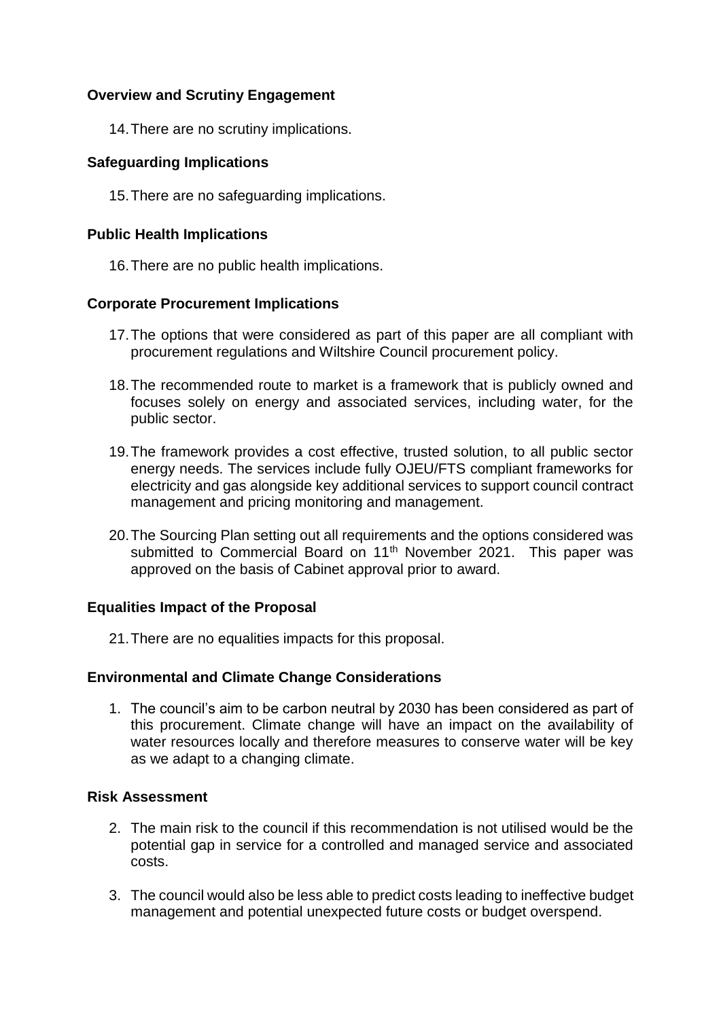## **Overview and Scrutiny Engagement**

14.There are no scrutiny implications.

### **Safeguarding Implications**

15.There are no safeguarding implications.

### **Public Health Implications**

16.There are no public health implications.

## **Corporate Procurement Implications**

- 17.The options that were considered as part of this paper are all compliant with procurement regulations and Wiltshire Council procurement policy.
- 18.The recommended route to market is a framework that is publicly owned and focuses solely on energy and associated services, including water, for the public sector.
- 19.The framework provides a cost effective, trusted solution, to all public sector energy needs. The services include fully OJEU/FTS compliant frameworks for electricity and gas alongside key additional services to support council contract management and pricing monitoring and management.
- 20.The Sourcing Plan setting out all requirements and the options considered was submitted to Commercial Board on 11<sup>th</sup> November 2021. This paper was approved on the basis of Cabinet approval prior to award.

# **Equalities Impact of the Proposal**

21.There are no equalities impacts for this proposal.

### **Environmental and Climate Change Considerations**

1. The council's aim to be carbon neutral by 2030 has been considered as part of this procurement. Climate change will have an impact on the availability of water resources locally and therefore measures to conserve water will be key as we adapt to a changing climate.

### **Risk Assessment**

- 2. The main risk to the council if this recommendation is not utilised would be the potential gap in service for a controlled and managed service and associated costs.
- 3. The council would also be less able to predict costs leading to ineffective budget management and potential unexpected future costs or budget overspend.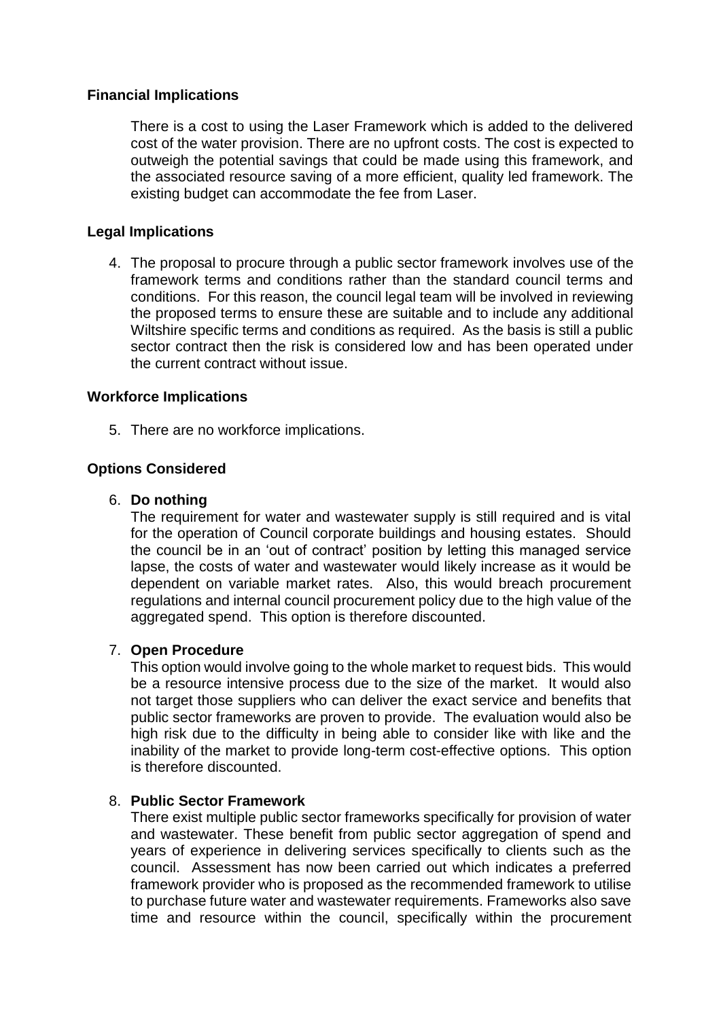### **Financial Implications**

There is a cost to using the Laser Framework which is added to the delivered cost of the water provision. There are no upfront costs. The cost is expected to outweigh the potential savings that could be made using this framework, and the associated resource saving of a more efficient, quality led framework. The existing budget can accommodate the fee from Laser.

### **Legal Implications**

4. The proposal to procure through a public sector framework involves use of the framework terms and conditions rather than the standard council terms and conditions. For this reason, the council legal team will be involved in reviewing the proposed terms to ensure these are suitable and to include any additional Wiltshire specific terms and conditions as required. As the basis is still a public sector contract then the risk is considered low and has been operated under the current contract without issue.

### **Workforce Implications**

5. There are no workforce implications.

### **Options Considered**

#### 6. **Do nothing**

The requirement for water and wastewater supply is still required and is vital for the operation of Council corporate buildings and housing estates. Should the council be in an 'out of contract' position by letting this managed service lapse, the costs of water and wastewater would likely increase as it would be dependent on variable market rates. Also, this would breach procurement regulations and internal council procurement policy due to the high value of the agaregated spend. This option is therefore discounted.

### 7. **Open Procedure**

This option would involve going to the whole market to request bids. This would be a resource intensive process due to the size of the market. It would also not target those suppliers who can deliver the exact service and benefits that public sector frameworks are proven to provide. The evaluation would also be high risk due to the difficulty in being able to consider like with like and the inability of the market to provide long-term cost-effective options. This option is therefore discounted.

#### 8. **Public Sector Framework**

There exist multiple public sector frameworks specifically for provision of water and wastewater. These benefit from public sector aggregation of spend and years of experience in delivering services specifically to clients such as the council. Assessment has now been carried out which indicates a preferred framework provider who is proposed as the recommended framework to utilise to purchase future water and wastewater requirements. Frameworks also save time and resource within the council, specifically within the procurement